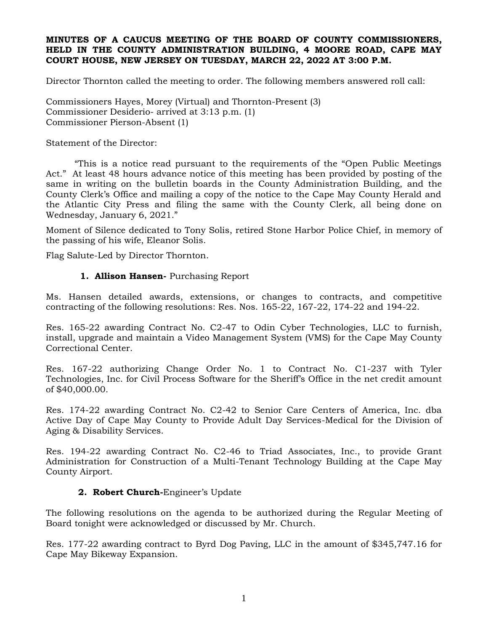### **MINUTES OF A CAUCUS MEETING OF THE BOARD OF COUNTY COMMISSIONERS, HELD IN THE COUNTY ADMINISTRATION BUILDING, 4 MOORE ROAD, CAPE MAY COURT HOUSE, NEW JERSEY ON TUESDAY, MARCH 22, 2022 AT 3:00 P.M.**

Director Thornton called the meeting to order. The following members answered roll call:

Commissioners Hayes, Morey (Virtual) and Thornton-Present (3) Commissioner Desiderio- arrived at 3:13 p.m. (1) Commissioner Pierson-Absent (1)

Statement of the Director:

"This is a notice read pursuant to the requirements of the "Open Public Meetings Act." At least 48 hours advance notice of this meeting has been provided by posting of the same in writing on the bulletin boards in the County Administration Building, and the County Clerk's Office and mailing a copy of the notice to the Cape May County Herald and the Atlantic City Press and filing the same with the County Clerk, all being done on Wednesday, January 6, 2021."

Moment of Silence dedicated to Tony Solis, retired Stone Harbor Police Chief, in memory of the passing of his wife, Eleanor Solis.

Flag Salute-Led by Director Thornton.

### **1. Allison Hansen-** Purchasing Report

Ms. Hansen detailed awards, extensions, or changes to contracts, and competitive contracting of the following resolutions: Res. Nos. 165-22, 167-22, 174-22 and 194-22.

Res. 165-22 awarding Contract No. C2-47 to Odin Cyber Technologies, LLC to furnish, install, upgrade and maintain a Video Management System (VMS) for the Cape May County Correctional Center.

Res. 167-22 authorizing Change Order No. 1 to Contract No. C1-237 with Tyler Technologies, Inc. for Civil Process Software for the Sheriff's Office in the net credit amount of \$40,000.00.

Res. 174-22 awarding Contract No. C2-42 to Senior Care Centers of America, Inc. dba Active Day of Cape May County to Provide Adult Day Services-Medical for the Division of Aging & Disability Services.

Res. 194-22 awarding Contract No. C2-46 to Triad Associates, Inc., to provide Grant Administration for Construction of a Multi-Tenant Technology Building at the Cape May County Airport.

#### **2. Robert Church-**Engineer's Update

The following resolutions on the agenda to be authorized during the Regular Meeting of Board tonight were acknowledged or discussed by Mr. Church.

Res. 177-22 awarding contract to Byrd Dog Paving, LLC in the amount of \$345,747.16 for Cape May Bikeway Expansion.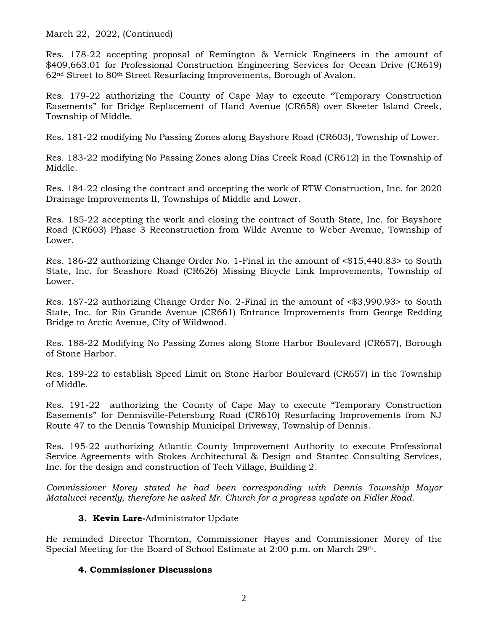March 22, 2022, (Continued)

Res. 178-22 accepting proposal of Remington & Vernick Engineers in the amount of \$409,663.01 for Professional Construction Engineering Services for Ocean Drive (CR619) 62nd Street to 80th Street Resurfacing Improvements, Borough of Avalon.

Res. 179-22 authorizing the County of Cape May to execute "Temporary Construction Easements" for Bridge Replacement of Hand Avenue (CR658) over Skeeter Island Creek, Township of Middle.

Res. 181-22 modifying No Passing Zones along Bayshore Road (CR603), Township of Lower.

Res. 183-22 modifying No Passing Zones along Dias Creek Road (CR612) in the Township of Middle.

Res. 184-22 closing the contract and accepting the work of RTW Construction, Inc. for 2020 Drainage Improvements II, Townships of Middle and Lower.

Res. 185-22 accepting the work and closing the contract of South State, Inc. for Bayshore Road (CR603) Phase 3 Reconstruction from Wilde Avenue to Weber Avenue, Township of Lower.

Res. 186-22 authorizing Change Order No. 1-Final in the amount of <\$15,440.83> to South State, Inc. for Seashore Road (CR626) Missing Bicycle Link Improvements, Township of Lower.

Res. 187-22 authorizing Change Order No. 2-Final in the amount of <\$3,990.93> to South State, Inc. for Rio Grande Avenue (CR661) Entrance Improvements from George Redding Bridge to Arctic Avenue, City of Wildwood.

Res. 188-22 Modifying No Passing Zones along Stone Harbor Boulevard (CR657), Borough of Stone Harbor.

Res. 189-22 to establish Speed Limit on Stone Harbor Boulevard (CR657) in the Township of Middle.

Res. 191-22 authorizing the County of Cape May to execute "Temporary Construction Easements" for Dennisville-Petersburg Road (CR610) Resurfacing Improvements from NJ Route 47 to the Dennis Township Municipal Driveway, Township of Dennis.

Res. 195-22 authorizing Atlantic County Improvement Authority to execute Professional Service Agreements with Stokes Architectural & Design and Stantec Consulting Services, Inc. for the design and construction of Tech Village, Building 2.

*Commissioner Morey stated he had been corresponding with Dennis Township Mayor Matalucci recently, therefore he asked Mr. Church for a progress update on Fidler Road.*

# **3. Kevin Lare-**Administrator Update

He reminded Director Thornton, Commissioner Hayes and Commissioner Morey of the Special Meeting for the Board of School Estimate at 2:00 p.m. on March 29th.

# **4. Commissioner Discussions**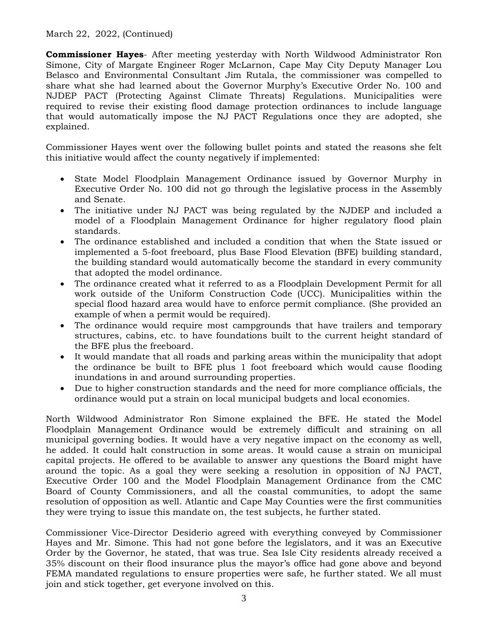March 22, 2022, (Continued)

**Commissioner Hayes**- After meeting yesterday with North Wildwood Administrator Ron Simone, City of Margate Engineer Roger McLarnon, Cape May City Deputy Manager Lou Belasco and Environmental Consultant Jim Rutala, the commissioner was compelled to share what she had learned about the Governor Murphy's Executive Order No. 100 and NJDEP PACT (Protecting Against Climate Threats) Regulations. Municipalities were required to revise their existing flood damage protection ordinances to include language that would automatically impose the NJ PACT Regulations once they are adopted, she explained.

Commissioner Hayes went over the following bullet points and stated the reasons she felt this initiative would affect the county negatively if implemented:

- State Model Floodplain Management Ordinance issued by Governor Murphy in Executive Order No. 100 did not go through the legislative process in the Assembly and Senate.
- The initiative under NJ PACT was being regulated by the NJDEP and included a model of a Floodplain Management Ordinance for higher regulatory flood plain standards.
- The ordinance established and included a condition that when the State issued or implemented a 5-foot freeboard, plus Base Flood Elevation (BFE) building standard, the building standard would automatically become the standard in every community that adopted the model ordinance.
- The ordinance created what it referred to as a Floodplain Development Permit for all work outside of the Uniform Construction Code (UCC). Municipalities within the special flood hazard area would have to enforce permit compliance. (She provided an example of when a permit would be required).
- The ordinance would require most campgrounds that have trailers and temporary structures, cabins, etc. to have foundations built to the current height standard of the BFE plus the freeboard.
- It would mandate that all roads and parking areas within the municipality that adopt the ordinance be built to BFE plus 1 foot freeboard which would cause flooding inundations in and around surrounding properties.
- Due to higher construction standards and the need for more compliance officials, the ordinance would put a strain on local municipal budgets and local economies.

North Wildwood Administrator Ron Simone explained the BFE. He stated the Model Floodplain Management Ordinance would be extremely difficult and straining on all municipal governing bodies. It would have a very negative impact on the economy as well, he added. It could halt construction in some areas. It would cause a strain on municipal capital projects. He offered to be available to answer any questions the Board might have around the topic. As a goal they were seeking a resolution in opposition of NJ PACT, Executive Order 100 and the Model Floodplain Management Ordinance from the CMC Board of County Commissioners, and all the coastal communities, to adopt the same resolution of opposition as well. Atlantic and Cape May Counties were the first communities they were trying to issue this mandate on, the test subjects, he further stated.

Commissioner Vice-Director Desiderio agreed with everything conveyed by Commissioner Hayes and Mr. Simone. This had not gone before the legislators, and it was an Executive Order by the Governor, he stated, that was true. Sea Isle City residents already received a 35% discount on their flood insurance plus the mayor's office had gone above and beyond FEMA mandated regulations to ensure properties were safe, he further stated. We all must join and stick together, get everyone involved on this.